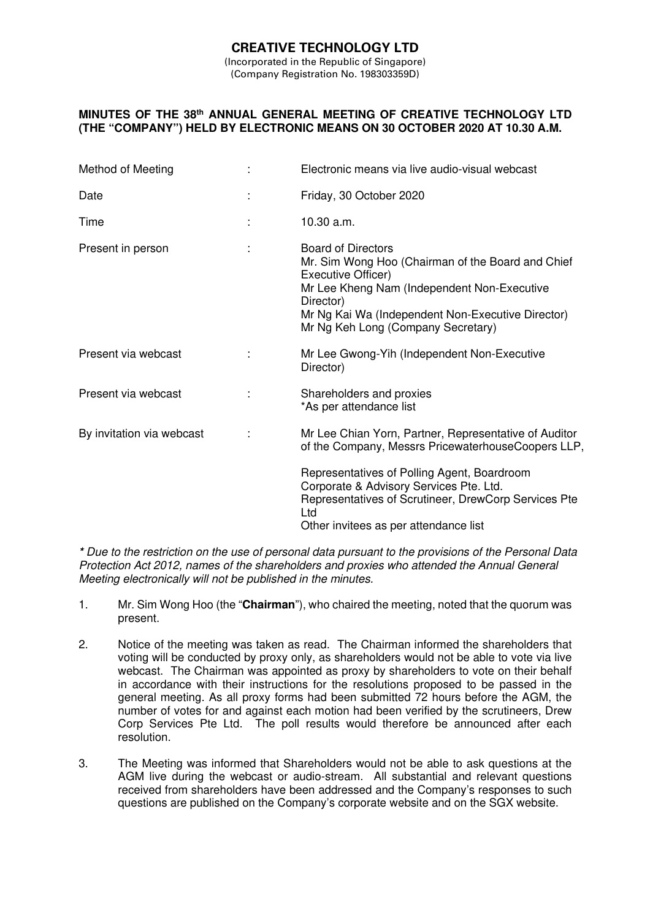# **CREATIVE TECHNOLOGY LTD**

(Incorporated in the Republic of Singapore) (Company Registration No. 198303359D)

### **MINUTES OF THE 38th ANNUAL GENERAL MEETING OF CREATIVE TECHNOLOGY LTD (THE "COMPANY") HELD BY ELECTRONIC MEANS ON 30 OCTOBER 2020 AT 10.30 A.M.**

| Method of Meeting         | Electronic means via live audio-visual webcast                                                                                                                                                                                                              |  |  |
|---------------------------|-------------------------------------------------------------------------------------------------------------------------------------------------------------------------------------------------------------------------------------------------------------|--|--|
| Date                      | Friday, 30 October 2020                                                                                                                                                                                                                                     |  |  |
| Time                      | 10.30 a.m.                                                                                                                                                                                                                                                  |  |  |
| Present in person         | <b>Board of Directors</b><br>Mr. Sim Wong Hoo (Chairman of the Board and Chief<br>Executive Officer)<br>Mr Lee Kheng Nam (Independent Non-Executive<br>Director)<br>Mr Ng Kai Wa (Independent Non-Executive Director)<br>Mr Ng Keh Long (Company Secretary) |  |  |
| Present via webcast       | Mr Lee Gwong-Yih (Independent Non-Executive<br>Director)                                                                                                                                                                                                    |  |  |
| Present via webcast       | Shareholders and proxies<br>*As per attendance list                                                                                                                                                                                                         |  |  |
| By invitation via webcast | Mr Lee Chian Yorn, Partner, Representative of Auditor<br>of the Company, Messrs PricewaterhouseCoopers LLP,                                                                                                                                                 |  |  |
|                           | Representatives of Polling Agent, Boardroom<br>Corporate & Advisory Services Pte. Ltd.<br>Representatives of Scrutineer, DrewCorp Services Pte<br>Ltd<br>Other invitees as per attendance list                                                              |  |  |

**\*** Due to the restriction on the use of personal data pursuant to the provisions of the Personal Data Protection Act 2012, names of the shareholders and proxies who attended the Annual General Meeting electronically will not be published in the minutes.

- 1. Mr. Sim Wong Hoo (the "**Chairman**"), who chaired the meeting, noted that the quorum was present.
- 2. Notice of the meeting was taken as read. The Chairman informed the shareholders that voting will be conducted by proxy only, as shareholders would not be able to vote via live webcast. The Chairman was appointed as proxy by shareholders to vote on their behalf in accordance with their instructions for the resolutions proposed to be passed in the general meeting. As all proxy forms had been submitted 72 hours before the AGM, the number of votes for and against each motion had been verified by the scrutineers, Drew Corp Services Pte Ltd. The poll results would therefore be announced after each resolution.
- 3. The Meeting was informed that Shareholders would not be able to ask questions at the AGM live during the webcast or audio-stream. All substantial and relevant questions received from shareholders have been addressed and the Company's responses to such questions are published on the Company's corporate website and on the SGX website.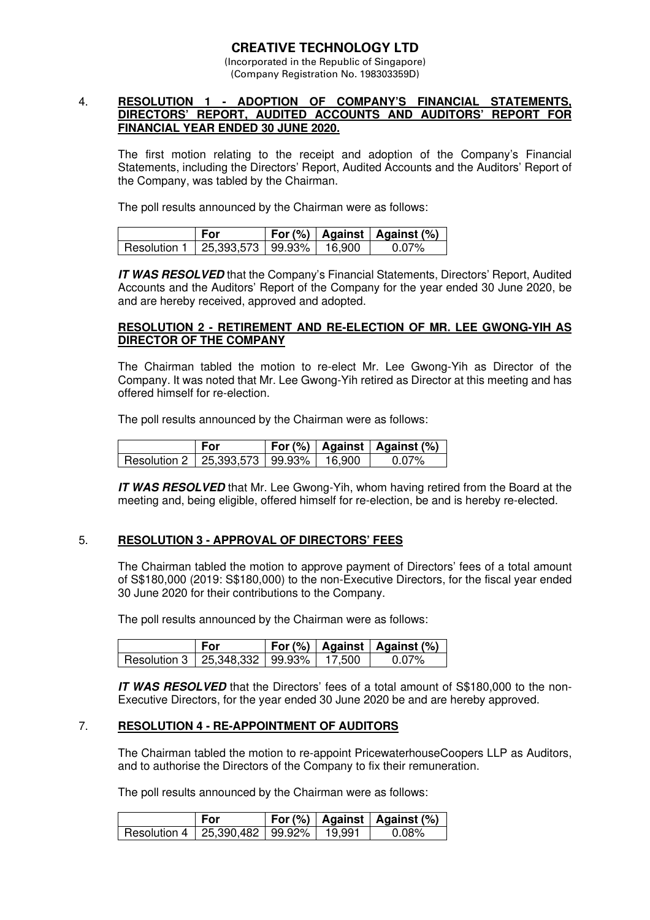### **CREATIVE TECHNOLOGY LTD**  (Incorporated in the Republic of Singapore)

(Company Registration No. 198303359D)

### 4. **RESOLUTION 1 - ADOPTION OF COMPANY'S FINANCIAL STATEMENTS, DIRECTORS' REPORT, AUDITED ACCOUNTS AND AUDITORS' REPORT FOR FINANCIAL YEAR ENDED 30 JUNE 2020.**

 The first motion relating to the receipt and adoption of the Company's Financial Statements, including the Directors' Report, Audited Accounts and the Auditors' Report of the Company, was tabled by the Chairman.

The poll results announced by the Chairman were as follows:

|                                             | For |  | For $(\%)$   Against   Against $(\%)$ |
|---------------------------------------------|-----|--|---------------------------------------|
| Resolution 1   25.393.573   99.93%   16.900 |     |  | $0.07\%$                              |

**IT WAS RESOLVED** that the Company's Financial Statements, Directors' Report, Audited Accounts and the Auditors' Report of the Company for the year ended 30 June 2020, be and are hereby received, approved and adopted.

## **RESOLUTION 2 - RETIREMENT AND RE-ELECTION OF MR. LEE GWONG-YIH AS DIRECTOR OF THE COMPANY**

 The Chairman tabled the motion to re-elect Mr. Lee Gwong-Yih as Director of the Company. It was noted that Mr. Lee Gwong-Yih retired as Director at this meeting and has offered himself for re-election.

The poll results announced by the Chairman were as follows:

|                                             | For |  | For (%)   Against   Against (%) |
|---------------------------------------------|-----|--|---------------------------------|
| Resolution 2   25,393,573   99.93%   16.900 |     |  | $0.07\%$                        |

**IT WAS RESOLVED** that Mr. Lee Gwong-Yih, whom having retired from the Board at the meeting and, being eligible, offered himself for re-election, be and is hereby re-elected.

## 5. **RESOLUTION 3 - APPROVAL OF DIRECTORS' FEES**

 The Chairman tabled the motion to approve payment of Directors' fees of a total amount of S\$180,000 (2019: S\$180,000) to the non-Executive Directors, for the fiscal year ended 30 June 2020 for their contributions to the Company.

The poll results announced by the Chairman were as follows:

|                                             | <b>For</b> |  | For $(\%)$   Against   Against $(\%)$ |
|---------------------------------------------|------------|--|---------------------------------------|
| Resolution 3   25.348.332   99.93%   17.500 |            |  | .በ በ7%                                |

**IT WAS RESOLVED** that the Directors' fees of a total amount of S\$180,000 to the non-Executive Directors, for the year ended 30 June 2020 be and are hereby approved.

## 7. **RESOLUTION 4 - RE-APPOINTMENT OF AUDITORS**

The Chairman tabled the motion to re-appoint PricewaterhouseCoopers LLP as Auditors, and to authorise the Directors of the Company to fix their remuneration.

The poll results announced by the Chairman were as follows:

|                                    | <b>For</b> |        | $\mid$ For (%) $\mid$ Against $\mid$ Against (%) |
|------------------------------------|------------|--------|--------------------------------------------------|
| Resolution 4   25,390,482   99.92% |            | 19.991 | $0.08\%$                                         |